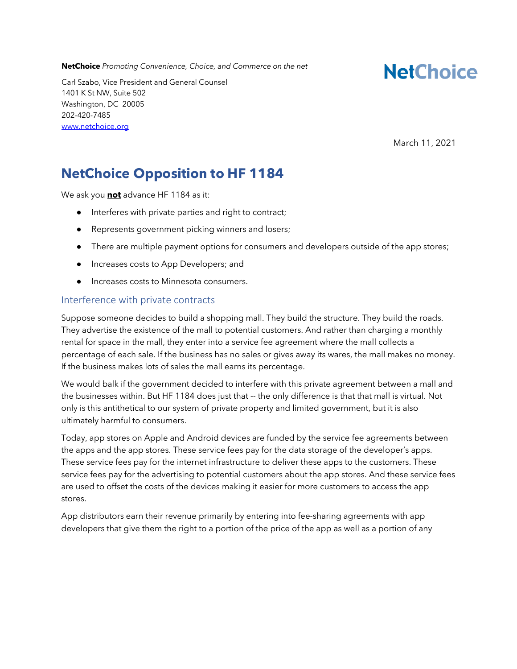**NetChoice** *Promoting Convenience, Choice, and Commerce on the net*

**NetChoice** 

Carl Szabo, Vice President and General Counsel 1401 K St NW, Suite 502 Washington, DC 20005 202-420-7485 www.netchoice.org

March 11, 2021

## **NetChoice Opposition to HF 1184**

We ask you **not** advance HF 1184 as it:

- Interferes with private parties and right to contract;
- Represents government picking winners and losers;
- There are multiple payment options for consumers and developers outside of the app stores;
- Increases costs to App Developers; and
- Increases costs to Minnesota consumers.

#### Interference with private contracts

Suppose someone decides to build a shopping mall. They build the structure. They build the roads. They advertise the existence of the mall to potential customers. And rather than charging a monthly rental for space in the mall, they enter into a service fee agreement where the mall collects a percentage of each sale. If the business has no sales or gives away its wares, the mall makes no money. If the business makes lots of sales the mall earns its percentage.

We would balk if the government decided to interfere with this private agreement between a mall and the businesses within. But HF 1184 does just that -- the only difference is that that mall is virtual. Not only is this antithetical to our system of private property and limited government, but it is also ultimately harmful to consumers.

Today, app stores on Apple and Android devices are funded by the service fee agreements between the apps and the app stores. These service fees pay for the data storage of the developer's apps. These service fees pay for the internet infrastructure to deliver these apps to the customers. These service fees pay for the advertising to potential customers about the app stores. And these service fees are used to offset the costs of the devices making it easier for more customers to access the app stores.

App distributors earn their revenue primarily by entering into fee-sharing agreements with app developers that give them the right to a portion of the price of the app as well as a portion of any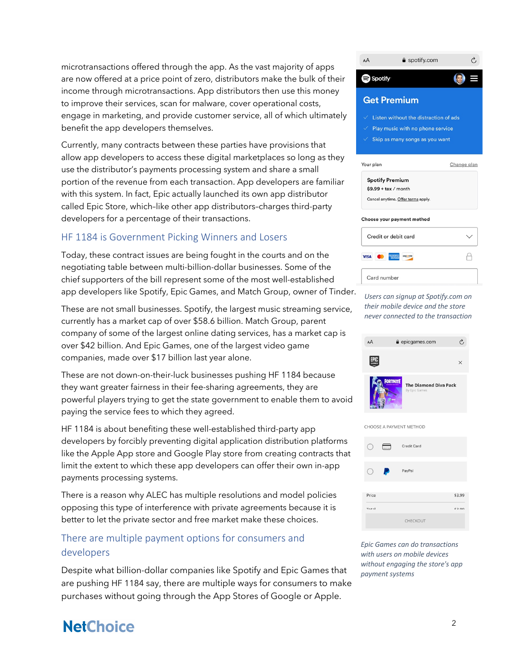microtransactions offered through the app. As the vast majority of apps are now offered at a price point of zero, distributors make the bulk of their income through microtransactions. App distributors then use this money to improve their services, scan for malware, cover operational costs, engage in marketing, and provide customer service, all of which ultimately benefit the app developers themselves.

Currently, many contracts between these parties have provisions that allow app developers to access these digital marketplaces so long as they use the distributor's payments processing system and share a small portion of the revenue from each transaction. App developers are familiar with this system. In fact, Epic actually launched its own app distributor called Epic Store, which–like other app distributors–charges third-party developers for a percentage of their transactions.

### HF 1184 is Government Picking Winners and Losers

Today, these contract issues are being fought in the courts and on the negotiating table between multi-billion-dollar businesses. Some of the chief supporters of the bill represent some of the most well-established app developers like Spotify, Epic Games, and Match Group, owner of Tinder.

These are not small businesses. Spotify, the largest music streaming service, currently has a market cap of over \$58.6 billion. Match Group, parent company of some of the largest online dating services, has a market cap is over \$42 billion. And Epic Games, one of the largest video game companies, made over \$17 billion last year alone.

These are not down-on-their-luck businesses pushing HF 1184 because they want greater fairness in their fee-sharing agreements, they are powerful players trying to get the state government to enable them to avoid paying the service fees to which they agreed.

HF 1184 is about benefiting these well-established third-party app developers by forcibly preventing digital application distribution platforms like the Apple App store and Google Play store from creating contracts that limit the extent to which these app developers can offer their own in-app payments processing systems.

There is a reason why ALEC has multiple resolutions and model policies opposing this type of interference with private agreements because it is better to let the private sector and free market make these choices.

### There are multiple payment options for consumers and developers

Despite what billion-dollar companies like Spotify and Epic Games that are pushing HF 1184 say, there are multiple ways for consumers to make purchases without going through the App Stores of Google or Apple.



*Users can signup at Spotify.com on their mobile device and the store never connected to the transaction*





*Epic Games can do transactions with users on mobile devices without engaging the store's app payment systems*

# **NetChoice**